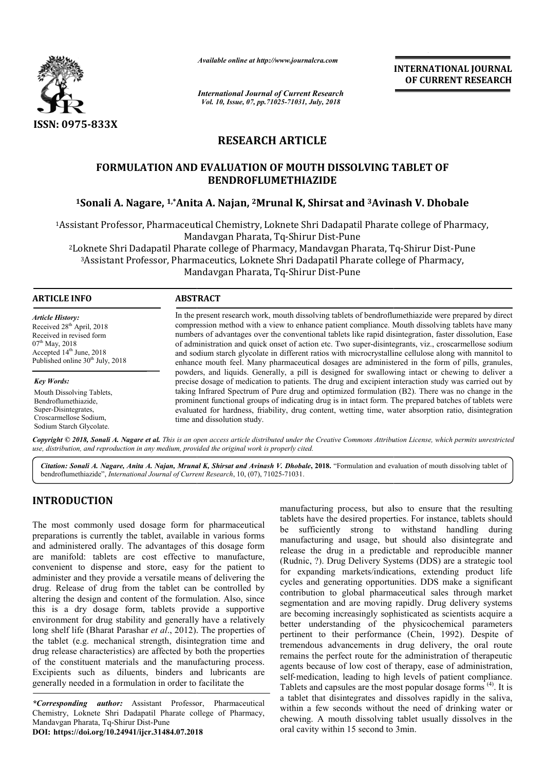

*Available online at http://www.journalcra.com*

*International Journal of Current Research Vol. 10, Issue, 07, pp.71025-71031, July, 2018*

**INTERNATIONAL JOURNAL OF CURRENT RESEARCH**

# **RESEARCH ARTICLE**

# **FORMULATION AND EVALUATION OF MOUTH DISSOLVING TABLET OF BENDROFLUMETHIAZIDE**

# <sup>1</sup>Sonali A. Nagare, <sup>1,</sup>\*Anita A. Najan, <sup>2</sup>Mrunal K, Shirsat and <sup>3</sup>Avinash V. Dhobale

1Assistant Professor, Pharmaceutical Chemistry, Loknete Shri Dadapatil Pharate college of Pharmacy, Mandavgan Pharata, Tq-Shirur Dist-Pune <sup>2</sup>Loknete Shri Dadapatil Pharate college of Pharmacy, Mandavgan Pharata, Tq-Shirur Dist-Pune Loknete Shri Dadapatil Pharate college of Pharmacy, Mandavgan Pharata, Tq-Shirur Dist-Pu<br>3Assistant Professor, Pharmaceutics, Loknete Shri Dadapatil Pharate college of Pharmacy,

Mandavgan Pharata, Tq-Shirur Dist-Pune

# **ARTICLE INFO ABSTRACT**

*Article History:* Received 28<sup>th</sup> April, 2018 Received in revised form 07<sup>th</sup> May, 2018 Accepted  $14<sup>th</sup>$  June, 2018 Published online 30<sup>th</sup> July, 2018

*Key Words:* Mouth Dissolving Tablets, Bendroflumethiazide, Super-Disintegrates, Croscarmellose Sodium, Sodium Starch Glycolate.

In the present research work, mouth dissolving tablets of bendroflumethiazide were prepared by direct compression method with a view to enhance patient compliance. Mouth dissolving tablets have many numbers of advantages over the conventional tablets like rapid disintegration, faster dissolution, Ease of administration and quick onset of action etc. Two super-disintegrants, viz., croscarmellose sodium and sodium starch glycolate in different ratios with microcrystalline cellulose along with mannitol to enhance mouth feel. Many pharmaceutical dosages are administered in the form of pills, granules, powders, and liquids. Generally, a pill is designed for swallowing intact or chewing to deliver a precise dosage of medication to patients. The drug and excipient interaction study was carried out by In the present research work, mouth dissolving tablets of bendroflumethiazide were prepared by direct<br>compression method with a view to enhance patient compliance. Mouth dissolving tablets have many<br>numbers of advantages o prominent functional groups of indicating drug is in intact form. The prepared batches of tablets were prominent functional groups of indicating drug is in intact form. The prepared batches of tablets were evaluated for hardness, friability, drug content, wetting time, water absorption ratio, disintegration time and dissolution study.

Copyright © 2018, Sonali A. Nagare et al. This is an open access article distributed under the Creative Commons Attribution License, which permits unrestrictea *use, distribution, and reproduction in any medium, provided the original work is properly cited.*

Citation: Sonali A. Nagare, Anita A. Najan, Mrunal K, Shirsat and Avinash V. Dhobale, 2018. "Formulation and evaluation of mouth dissolving tablet of bendroflumethiazide", *International Journal of Current Research*, 10, (07), 71025-71031.

# **INTRODUCTION**

The most commonly used dosage form for pharmaceutical preparations is currently the tablet, available in various forms and administered orally. The advantages of this dosage form are manifold: tablets are cost effective to manufacture, convenient to dispense and store, easy for the patient to administer and they provide a versatile means of delivering the drug. Release of drug from the tablet can be controlled by altering the design and content of the formulation. Also, since this is a dry dosage form, tablets provide a supportive environment for drug stability and generally have a relatively convenient to dispense and store, easy for the patient to administer and they provide a versatile means of delivering the drug. Release of drug from the tablet can be controlled by altering the design and content of the fo the tablet (e.g. mechanical strength, disintegration time and drug release characteristics) are affected by both the properties of the constituent materials and the manufacturing process. Excipients such as diluents, binders and lubricants are generally needed in a formulation in order to facilitate the *Arrow* drug release characteristics) are affected by both the properties<br>of the constituent materials and the manufacturing process.<br>Excipients such as diluents, binders and lubricants are<br>generally needed in a formulatio

Chemistry, Loknete Shri Dadapatil Pharate college of Pharmacy, Mandavgan Pharata, Tq-Shirur Dist-Pune **DOI: https://doi.org/10.24941/ijcr.31484.07.2018**

manufacturing process, but also to ensure that the resulting<br>
anilable in various tormel be sufficiently strong to withstand handling during<br>
ges of this dosage form manufacturing and usage, but should also disintegrate an tablets have the desired properties. For instance, tablets should be sufficiently strong to withstand handling during manufacturing and usage, but should also disintegrate and release the drug in a predictable and reproducible manner (Rudnic, ?). Drug Delivery Systems (DDS) are a strategic tool for expanding markets/indications, extending product life cycles and generating opportunities. DDS make a significant contribution to global pharmaceutical sales through market segmentation and are moving rapidly. Drug delivery systems cycles and generating opportunities. DDS make a significant contribution to global pharmaceutical sales through market segmentation and are moving rapidly. Drug delivery systems are becoming increasingly sophisticated as s better understanding of the physicochemical parameters better understanding of the physicochemical parameters pertinent to their performance (Chein, 1992). Despite of tremendous advancements in drug delivery, the oral route remains the perfect route for the administration of therapeutic agents because of low cost of therapy, ease of administration, tremendous advancements in drug delivery, the oral route<br>remains the perfect route for the administration of therapeutic<br>agents because of low cost of therapy, ease of administration,<br>self-medication, leading to high level Tablets and capsules are the most popular dosage forms<sup>(4)</sup>. It is a tablet that disintegrates and dissolves rapidly in the saliva, within a few seconds without the need of drinking water or chewing. A mouth dissolving tablet usually dissolves in the oral cavity within 15 second to 3min. facturing process, but also to ensure that the resulting<br>is have the desired properties. For instance, tablets should<br>ufficiently strong to withstand handling during<br>facturing and usage, but should also disintegrate and<br>e **INTERNATIONAL JOURNAL CONTRIGENT (SEE A dissolving the system of CURRENT RESEARCH OF CURRENT RESEARCH (by, 2018)**<br> **E. E. H DISSOLVING TABLET OF** (**DE A dissolving the SEE A dissolving the SEE A dissolving Pharata, T**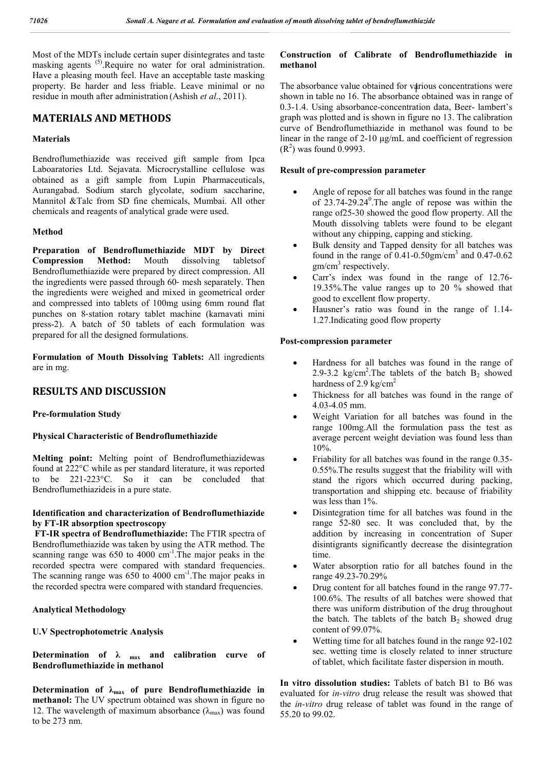Most of the MDTs include certain super disintegrates and taste masking agents <sup>(5)</sup>. Require no water for oral administration. Have a pleasing mouth feel. Have an acceptable taste masking property. Be harder and less friable. Leave minimal or no residue in mouth after administration (Ashish *et al*., 2011).

# **MATERIALS AND METHODS**

## **Materials**

Bendroflumethiazide was received gift sample from Ipca Laboaratories Ltd. Sejavata. Microcrystalline cellulose was obtained as a gift sample from Lupin Pharmaceuticals, Aurangabad. Sodium starch glycolate, sodium saccharine, Mannitol &Talc from SD fine chemicals, Mumbai. All other chemicals and reagents of analytical grade were used.

## **Method**

**Preparation of Bendroflumethiazide MDT by Direct Compression Method:** Mouth dissolving tabletsof Bendroflumethiazide were prepared by direct compression. All the ingredients were passed through 60‐ mesh separately. Then the ingredients were weighed and mixed in geometrical order and compressed into tablets of 100mg using 6mm round flat punches on 8‐station rotary tablet machine (karnavati mini press-2). A batch of 50 tablets of each formulation was prepared for all the designed formulations.

**Formulation of Mouth Dissolving Tablets:** All ingredients are in mg.

# **RESULTS AND DISCUSSION**

## **Pre-formulation Study**

# **Physical Characteristic of Bendroflumethiazide**

**Melting point:** Melting point of Bendroflumethiazidewas found at 222°C while as per standard literature, it was reported to be 221-223°C. So it can be concluded that Bendroflumethiazideis in a pure state.

# **Identification and characterization of Bendroflumethiazide by FT-IR absorption spectroscopy**

**FT-IR spectra of Bendroflumethiazide:** The FTIR spectra of Bendroflumethiazide was taken by using the ATR method. The scanning range was  $650$  to  $4000 \text{ cm}^{-1}$ . The major peaks in the recorded spectra were compared with standard frequencies. The scanning range was 650 to 4000 cm<sup>-1</sup>. The major peaks in the recorded spectra were compared with standard frequencies.

## **Analytical Methodology**

## **U.V Spectrophotometric Analysis**

Determination of  $\lambda$   $_{\text{max}}$  and calibration curve of **Bendroflumethiazide in methanol**

Determination of λ<sub>max</sub> of pure Bendroflumethiazide in **methanol:** The UV spectrum obtained was shown in figure no 12. The wavelength of maximum absorbance  $(\lambda_{\text{max}})$  was found to be 273 nm.

# **Construction of Calibrate of Bendroflumethiazide in methanol**

The absorbance value obtained for various concentrations were shown in table no 16. The absorbance obtained was in range of 0.3-1.4. Using absorbance-concentration data, Beer- lambert's graph was plotted and is shown in figure no 13. The calibration curve of Bendroflumethiazide in methanol was found to be linear in the range of 2-10 μg/mL and coefficient of regression  $(R<sup>2</sup>)$  was found 0.9993.

#### **Result of pre-compression parameter**

- Angle of repose for all batches was found in the range of  $23.74-29.24^{\circ}$ . The angle of repose was within the range of25-30 showed the good flow property. All the Mouth dissolving tablets were found to be elegant without any chipping, capping and sticking.
- Bulk density and Tapped density for all batches was found in the range of  $0.41$ - $0.50$ gm/cm<sup>3</sup> and  $0.47$ - $0.62$  $gm/cm<sup>3</sup>$  respectively.
- Carr's index was found in the range of 12.76- 19.35%.The value ranges up to 20 % showed that good to excellent flow property.
- Hausner's ratio was found in the range of 1.14- 1.27.Indicating good flow property

#### **Post-compression parameter**

- Hardness for all batches was found in the range of 2.9-3.2 kg/cm<sup>2</sup>. The tablets of the batch  $B_2$  showed hardness of 2.9 kg/cm<sup>2</sup>
- Thickness for all batches was found in the range of 4.03-4.05 mm.
- Weight Variation for all batches was found in the range 100mg.All the formulation pass the test as average percent weight deviation was found less than 10%.
- Friability for all batches was found in the range 0.35- 0.55%.The results suggest that the friability will with stand the rigors which occurred during packing, transportation and shipping etc. because of friability was less than 1%.
- Disintegration time for all batches was found in the range 52-80 sec. It was concluded that, by the addition by increasing in concentration of Super disintigrants significantly decrease the disintegration time.
- Water absorption ratio for all batches found in the range 49.23-70.29%
- Drug content for all batches found in the range 97.77- 100.6%. The results of all batches were showed that there was uniform distribution of the drug throughout the batch. The tablets of the batch  $B_2$  showed drug content of 99.07%.
- Wetting time for all batches found in the range 92-102 sec. wetting time is closely related to inner structure of tablet, which facilitate faster dispersion in mouth.

**In vitro dissolution studies:** Tablets of batch B1 to B6 was evaluated for *in-vitro* drug release the result was showed that the *in-vitro* drug release of tablet was found in the range of 55.20 to 99.02.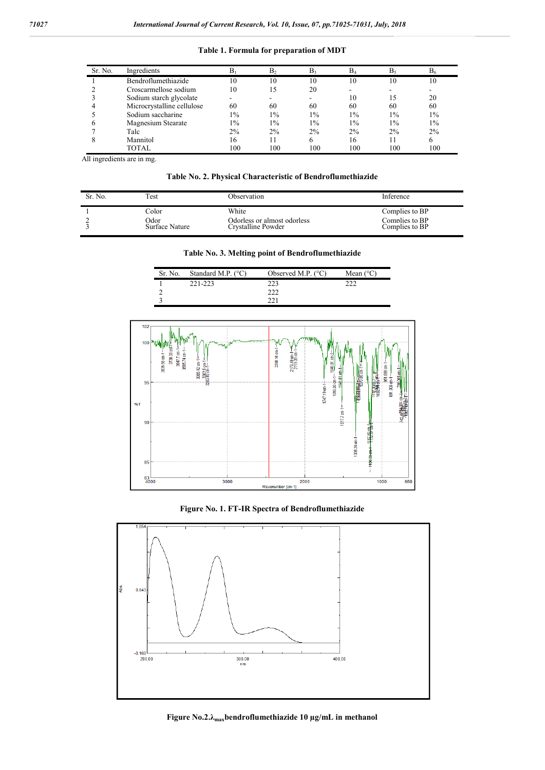| Sr. No. | Ingredients                |       | B <sub>2</sub> | $B_3$ | $B_4$ | B٩    | $B_6$ |
|---------|----------------------------|-------|----------------|-------|-------|-------|-------|
|         | Bendroflumethiazide        | 10    | 10             | 10    | 10    | 10    | 10    |
|         | Croscarmellose sodium      | 10    | 15             | 20    |       |       |       |
|         | Sodium starch glycolate    |       |                |       | 10    | 15    | 20    |
|         | Microcrystalline cellulose | 60    | 60             | 60    | 60    | 60    | 60    |
|         | Sodium saccharine          | $1\%$ | $1\%$          | $1\%$ | $1\%$ | $1\%$ | $1\%$ |
|         | Magnesium Stearate         | $1\%$ | $1\%$          | $1\%$ | $1\%$ | $1\%$ | $1\%$ |
|         | Talc                       | 2%    | 2%             | 2%    | $2\%$ | $2\%$ | 2%    |
| 8       | Mannitol                   | 16    | 11             | 6     | 16    | 11    | h     |
|         | TOTAL                      | 100   | 100            | 100   | 100   | 100   | 100   |

**Table 1. Formula for preparation of MDT**

All ingredients are in mg.

**Table No. 2. Physical Characteristic of Bendroflumethiazide**

| Sr. No. | Test           | Observation                 | Inference      |
|---------|----------------|-----------------------------|----------------|
|         | Color          | White                       | Complies to BP |
|         | Odor           | Odorless or almost odorless | Complies to BP |
|         | Surface Nature | Crystalline Powder          | Complies to BP |

|  |  | Table No. 3. Melting point of Bendroflumethiazide |  |
|--|--|---------------------------------------------------|--|
|--|--|---------------------------------------------------|--|

| Sr. No. | Standard M.P. $(^{\circ}C)$ | Observed M.P. $(^{\circ}C)$ | Mean $(^{\circ}C)$ |
|---------|-----------------------------|-----------------------------|--------------------|
|         | 221-223                     |                             |                    |
|         |                             | ר ר                         |                    |
|         |                             |                             |                    |



**Figure No. 1. FT-IR Spectra of Bendroflumethiazide**



**Figure No.2.λmaxbendroflumethiazide 10 µg/mL in methanol**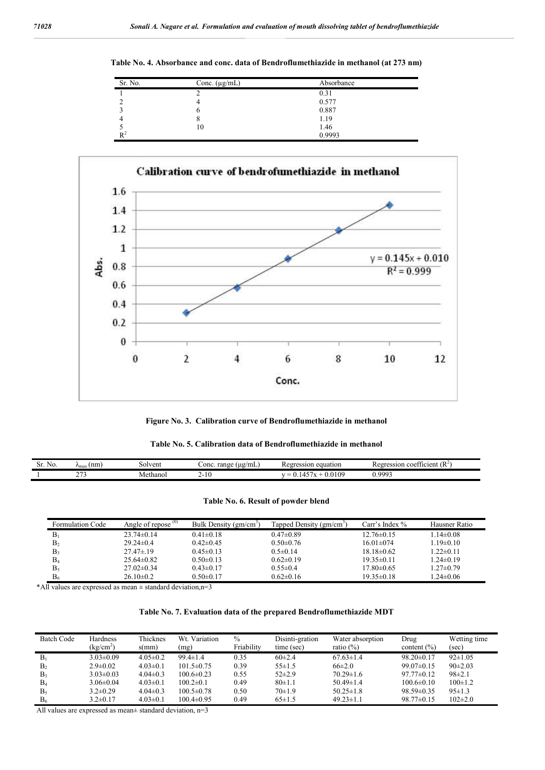**Table No. 4. Absorbance and conc. data of Bendroflumethiazide in methanol (at 273 nm)**

| Sr. No. | Conc. $(\mu g/mL)$ | Absorbance |
|---------|--------------------|------------|
|         |                    | 0.31       |
|         |                    | 0.577      |
|         |                    | 0.887      |
|         |                    | 1.19       |
|         | 10                 | 1.46       |
| $R^2$   |                    | 0.9993     |



**Figure No. 3. Calibration curve of Bendroflumethiazide in methanol**

|  | Table No. 5. Calibration data of Bendroflumethiazide in methanol |  |
|--|------------------------------------------------------------------|--|
|--|------------------------------------------------------------------|--|

| $\sim$<br>NO.<br>м. | (nm)<br>∕ymax | solvent  | range<br>Conc<br>$( \mu \Omega / m L)$ | ssion equation<br>$P$ ore | coefficient $(R^2)$<br>ession:<br>' agr<br>ĸe<br>$\cdot$ |
|---------------------|---------------|----------|----------------------------------------|---------------------------|----------------------------------------------------------|
|                     | $\sim$ $-$    | Methanol | 1 U                                    | 109<br>. . —              | $0.000^{2}$<br>$\mathsf{v}$ .                            |

|  |  |  |  | Table No. 6. Result of powder blend |  |  |
|--|--|--|--|-------------------------------------|--|--|
|--|--|--|--|-------------------------------------|--|--|

| Formulation Code | Angle of repose $(0)$ | Bulk Density $(gm/cm3)$ | Tapped Density (gm/cm <sup>3</sup> ) | Carr's Index $\%$ | Hausner Ratio   |
|------------------|-----------------------|-------------------------|--------------------------------------|-------------------|-----------------|
| $B_1$            | $23.74 \pm 0.14$      | $0.41 \pm 0.18$         | $0.47\pm0.89$                        | $12.76 \pm 0.15$  | $1.14 \pm 0.08$ |
| B <sub>2</sub>   | $29.24\pm 0.4$        | $0.42 \pm 0.45$         | $0.50 \pm 0.76$                      | $16.01 \pm 0.74$  | $1.19 \pm 0.10$ |
| B3               | $27.47 \pm 19$        | $0.45 \pm 0.13$         | $0.5 \pm 0.14$                       | $18.18\pm0.62$    | $1.22 \pm 0.11$ |
| $B_4$            | $25.64\pm0.82$        | $0.50 \pm 0.13$         | $0.62\pm0.19$                        | $19.35\pm0.11$    | $1.24 \pm 0.19$ |
| $B_5$            | $27.02 \pm 0.34$      | $0.43 \pm 0.17$         | $0.55 \pm 0.4$                       | $17.80 \pm 0.65$  | $1.27 \pm 0.79$ |
| B <sub>6</sub>   | $26.10\pm0.2$         | $0.50 \pm 0.17$         | $0.62\pm0.16$                        | $19.35\pm0.18$    | $1.24 \pm 0.06$ |

\*All values are expressed as mean  $\pm$  standard deviation,n=3

**Table No. 7. Evaluation data of the prepared Bendroflumethiazide MDT**

| <b>Batch Code</b> | Hardness<br>(kg/cm <sup>2</sup> ) | Thicknes<br>s(mm) | Wt. Variation<br>(mg) | $\%$<br>Friability | Disinti-gration<br>time (sec) | Water absorption<br>ratio $(\%)$ | Drug<br>content $(\% )$ | Wetting time<br>(sec) |
|-------------------|-----------------------------------|-------------------|-----------------------|--------------------|-------------------------------|----------------------------------|-------------------------|-----------------------|
| $B_1$             | $3.03 \pm 0.09$                   | $4.05 \pm 0.2$    | $99.4 \pm 1.4$        | 0.35               | $60\pm2.4$                    | $67.63 \pm 1.4$                  | $98.20 \pm 0.17$        | $92 \pm 1.05$         |
| B <sub>2</sub>    | $2.9 \pm 0.02$                    | $4.03 \pm 0.1$    | $101.5\pm 0.75$       | 0.39               | $55 \pm 1.5$                  | $66\pm2.0$                       | $99.07 \pm 0.15$        | $90\pm2.03$           |
| B <sub>3</sub>    | $3.03 \pm 0.03$                   | $4.04\pm0.3$      | $100.6 \pm 0.23$      | 0.55               | $52\pm2.9$                    | $70.29 \pm 1.6$                  | $97.77 \pm 0.12$        | $98 \pm 2.1$          |
| $B_4$             | $3.06\pm0.04$                     | $4.03 \pm 0.1$    | $100.2 \pm 0.1$       | 0.49               | 80±1.1                        | $50.49 \pm 1.4$                  | $100.6 \pm 0.10$        | $100 \pm 1.2$         |
| B <sub>5</sub>    | $3.2\pm 0.29$                     | $4.04\pm0.3$      | $100.5 \pm 0.78$      | 0.50               | 70±1.9                        | $50.25 \pm 1.8$                  | $98.59 \pm 0.35$        | $95 \pm 1.3$          |
| B <sub>6</sub>    | $3.2 \pm 0.17$                    | $4.03 \pm 0.1$    | $100.4 \pm 0.95$      | 0.49               | $65 \pm 1.5$                  | $49.23 \pm 1.1$                  | $98.77 \pm 0.15$        | $102 \pm 2.0$         |

All values are expressed as mean± standard deviation, n=3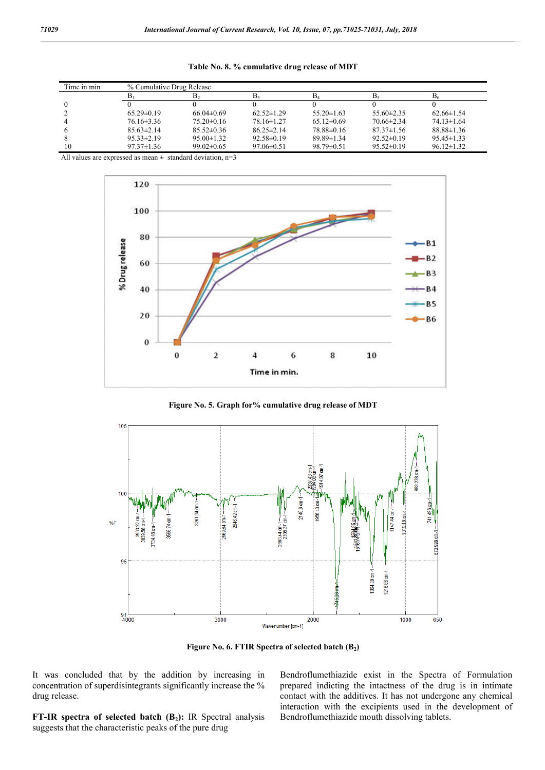**Table No. 8. % cumulative drug release of MDT**

| Time in min | % Cumulative Drug Release |                  |                  |                  |                |                  |  |  |
|-------------|---------------------------|------------------|------------------|------------------|----------------|------------------|--|--|
|             |                           |                  | в.               |                  |                | Þ۶               |  |  |
|             |                           |                  |                  |                  |                |                  |  |  |
|             | $65.29 \pm 0.19$          | $66.04\pm0.69$   | $62.52 \pm 1.29$ | $55.20 \pm 1.63$ | $55.60\pm2.35$ | $62.66\pm1.54$   |  |  |
|             | $76.16\pm3.36$            | $75.20\pm0.16$   | $78.16 \pm 1.27$ | $65.12\pm0.69$   | $70.66\pm2.34$ | $74.13 \pm 1.64$ |  |  |
|             | $85.63 \pm 2.14$          | $85.52\pm0.36$   | $86.25 \pm 2.14$ | 78.88±0.16       | $87.37\pm1.56$ | $88.88 \pm 1.36$ |  |  |
|             | $95.33 \pm 2.19$          | $95.00 \pm 1.32$ | $92.58 \pm 0.19$ | $89.89 \pm 1.34$ | $92.52\pm0.19$ | $95.45 \pm 1.33$ |  |  |
|             | $97.37 \pm 1.36$          | $99.02 \pm 0.65$ | $97.06 \pm 0.51$ | $98.79 \pm 0.51$ | $95.52\pm0.19$ | $96.12 \pm 1.32$ |  |  |

All values are expressed as mean  $\pm$  standard deviation, n=3



**Figure No. 5. Graph for% cumulative drug release of MDT**



**Figure No. 6. FTIR Spectra of selected batch (B2)**

It was concluded that by the addition by increasing in concentration of superdisintegrants significantly increase the % drug release.

**FT-IR spectra of selected batch (B<sub>2</sub>):** IR Spectral analysis suggests that the characteristic peaks of the pure drug

Bendroflumethiazide exist in the Spectra of Formulation prepared indicting the intactness of the drug is in intimate contact with the additives. It has not undergone any chemical interaction with the excipients used in the development of Bendroflumethiazide mouth dissolving tablets.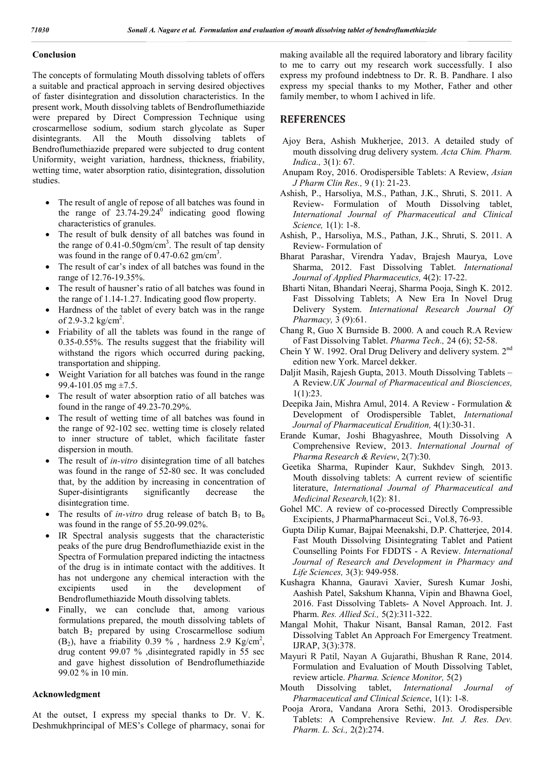# **Conclusion**

The concepts of formulating Mouth dissolving tablets of offers a suitable and practical approach in serving desired objectives of faster disintegration and dissolution characteristics. In the present work, Mouth dissolving tablets of Bendroflumethiazide were prepared by Direct Compression Technique using croscarmellose sodium, sodium starch glycolate as Super disintegrants. All the Mouth dissolving tablets of Bendroflumethiazide prepared were subjected to drug content Uniformity, weight variation, hardness, thickness, friability, wetting time, water absorption ratio, disintegration, dissolution studies.

- The result of angle of repose of all batches was found in the range of  $23.74-29.24$ <sup>0</sup> indicating good flowing characteristics of granules.
- The result of bulk density of all batches was found in the range of  $0.41$ - $0.50$ gm/cm<sup>3</sup>. The result of tap density was found in the range of  $0.47$ -0.62 gm/cm<sup>3</sup>.
- The result of car's index of all batches was found in the range of 12.76-19.35%.
- The result of hausner's ratio of all batches was found in the range of 1.14-1.27. Indicating good flow property.
- Hardness of the tablet of every batch was in the range of 2.9-3.2 kg/cm<sup>2</sup>.
- Friability of all the tablets was found in the range of 0.35-0.55%. The results suggest that the friability will withstand the rigors which occurred during packing, transportation and shipping.
- Weight Variation for all batches was found in the range 99.4-101.05 mg  $\pm$ 7.5.
- The result of water absorption ratio of all batches was found in the range of 49.23-70.29%.
- The result of wetting time of all batches was found in the range of 92-102 sec. wetting time is closely related to inner structure of tablet, which facilitate faster dispersion in mouth.
- The result of *in-vitro* disintegration time of all batches was found in the range of 52-80 sec. It was concluded that, by the addition by increasing in concentration of Super-disintigrants significantly decrease the disintegration time.
- The results of *in-vitro* drug release of batch  $B_1$  to  $B_6$ was found in the range of 55.20-99.02%.
- IR Spectral analysis suggests that the characteristic peaks of the pure drug Bendroflumethiazide exist in the Spectra of Formulation prepared indicting the intactness of the drug is in intimate contact with the additives. It has not undergone any chemical interaction with the excipients used in the development of Bendroflumethiazide Mouth dissolving tablets.
- Finally, we can conclude that, among various formulations prepared, the mouth dissolving tablets of batch  $B_2$  prepared by using Croscarmellose sodium (B<sub>2</sub>), have a friability 0.39 %, hardness 2.9 Kg/cm<sup>2</sup>, drug content 99.07 % ,disintegrated rapidly in 55 sec and gave highest dissolution of Bendroflumethiazide 99.02 % in 10 min.

## **Acknowledgment**

At the outset, I express my special thanks to Dr. V. K. Deshmukhprincipal of MES's College of pharmacy, sonai for making available all the required laboratory and library facility to me to carry out my research work successfully. I also express my profound indebtness to Dr. R. B. Pandhare. I also express my special thanks to my Mother, Father and other family member, to whom I achived in life.

# **REFERENCES**

- Ajoy Bera, Ashish Mukherjee, 2013. A detailed study of mouth dissolving drug delivery system. *Acta Chim. Pharm. Indica.,* 3(1): 67.
- Anupam Roy, 2016. Orodispersible Tablets: A Review, *Asian J Pharm Clin Res.,* 9 (1): 21-23.
- Ashish, P., Harsoliya, M.S., Pathan, J.K., Shruti, S. 2011. A Review- Formulation of Mouth Dissolving tablet, *International Journal of Pharmaceutical and Clinical Science,* 1(1): 1-8.
- Ashish, P., Harsoliya, M.S., Pathan, J.K., Shruti, S. 2011. A Review- Formulation of
- Bharat Parashar, Virendra Yadav, Brajesh Maurya, Love Sharma, 2012. Fast Dissolving Tablet. *International Journal of Applied Pharmaceutics,* 4(2): 17-22.
- Bharti Nitan, Bhandari Neeraj, Sharma Pooja, Singh K. 2012. Fast Dissolving Tablets; A New Era In Novel Drug Delivery System. *International Research Journal Of Pharmacy,* 3 (9):61.
- Chang R, Guo X Burnside B. 2000. A and couch R.A Review of Fast Dissolving Tablet. *Pharma Tech.,* 24 (6); 52-58.
- Chein Y W. 1992. Oral Drug Delivery and delivery system. 2nd edition new York. Marcel dekker.
- Daljit Masih, Rajesh Gupta, 2013. Mouth Dissolving Tablets A Review.*UK Journal of Pharmaceutical and Biosciences,* 1(1):23.
- Deepika Jain, Mishra Amul, 2014. A Review Formulation & Development of Orodispersible Tablet, *International Journal of Pharmaceutical Erudition,* 4(1):30-31.
- Erande Kumar, Joshi Bhagyashree, Mouth Dissolving A Comprehensive Review, 2013. *International Journal of Pharma Research & Review*, 2(7):30.
- Geetika Sharma, Rupinder Kaur, Sukhdev Singh*,* 2013. Mouth dissolving tablets: A current review of scientific literature, *International Journal of Pharmaceutical and Medicinal Research,*1(2): 81.
- Gohel MC. A review of co-processed Directly Compressible Excipients, J PharmaPharmaceut Sci., Vol.8, 76-93.
- Gupta Dilip Kumar, Bajpai Meenakshi, D.P. Chatterjee, 2014. Fast Mouth Dissolving Disintegrating Tablet and Patient Counselling Points For FDDTS - A Review. *International Journal of Research and Development in Pharmacy and Life Sciences,* 3(3): 949-958.
- Kushagra Khanna, Gauravi Xavier, Suresh Kumar Joshi, Aashish Patel, Sakshum Khanna, Vipin and Bhawna Goel, 2016. Fast Dissolving Tablets- A Novel Approach. Int. J. Pharm. *Res. Allied Sci.,* 5(2):311-322.
- Mangal Mohit, Thakur Nisant, Bansal Raman, 2012. Fast Dissolving Tablet An Approach For Emergency Treatment. IJRAP, 3(3):378.
- Mayuri R Patil, Nayan A Gujarathi, Bhushan R Rane, 2014. Formulation and Evaluation of Mouth Dissolving Tablet, review article. *Pharma. Science Monitor,* 5(2)
- Mouth Dissolving tablet, *International Journal of Pharmaceutical and Clinical Science*, 1(1): 1-8.
- Pooja Arora, Vandana Arora Sethi, 2013. Orodispersible Tablets: A Comprehensive Review. *Int. J. Res. Dev. Pharm. L. Sci.,* 2(2):274.